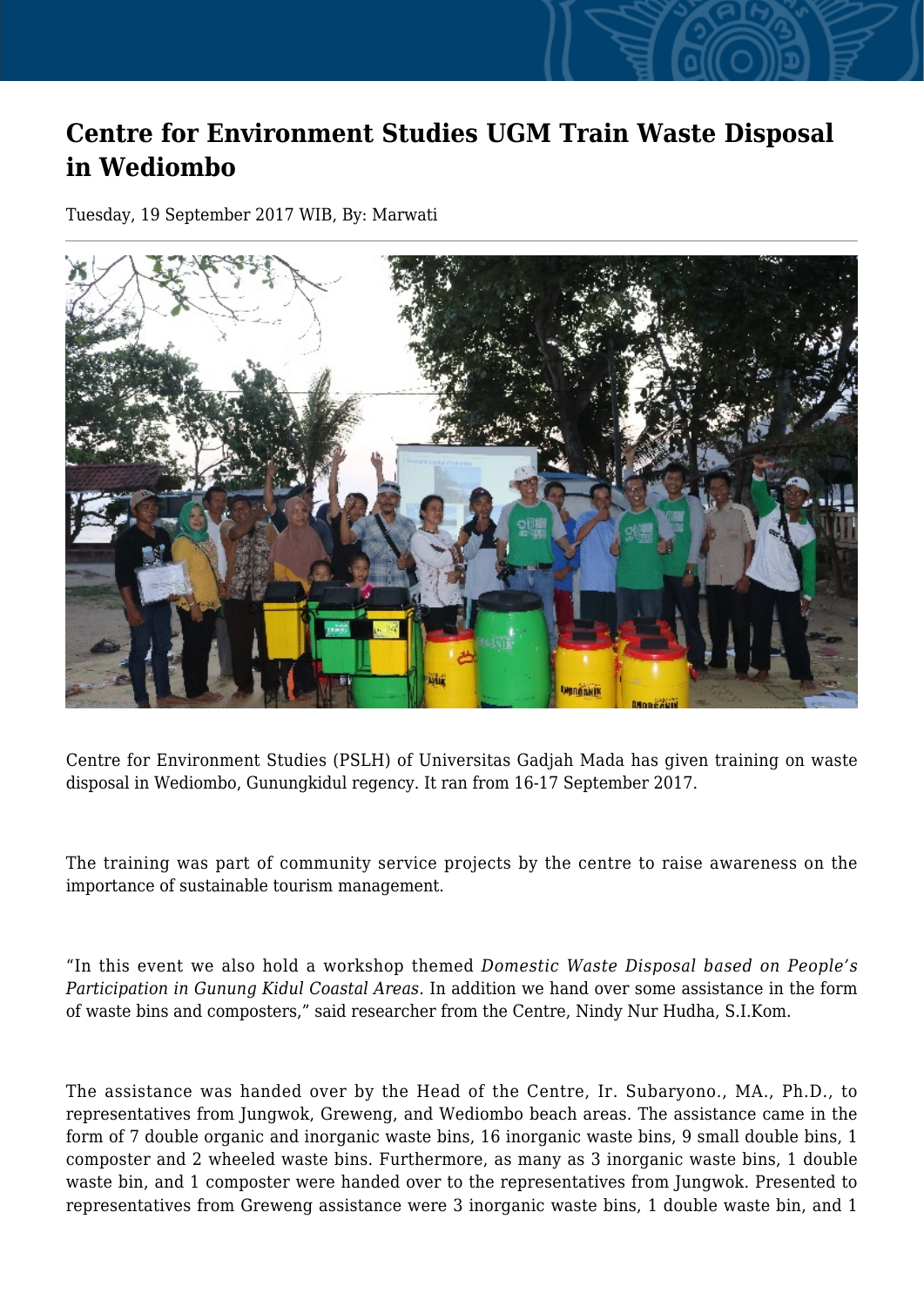## **Centre for Environment Studies UGM Train Waste Disposal in Wediombo**

Tuesday, 19 September 2017 WIB, By: Marwati



Centre for Environment Studies (PSLH) of Universitas Gadjah Mada has given training on waste disposal in Wediombo, Gunungkidul regency. It ran from 16-17 September 2017.

The training was part of community service projects by the centre to raise awareness on the importance of sustainable tourism management.

"In this event we also hold a workshop themed *Domestic Waste Disposal based on People's Participation in Gunung Kidul Coastal Areas.* In addition we hand over some assistance in the form of waste bins and composters," said researcher from the Centre, Nindy Nur Hudha, S.I.Kom.

The assistance was handed over by the Head of the Centre, Ir. Subaryono., MA., Ph.D., to representatives from Jungwok, Greweng, and Wediombo beach areas. The assistance came in the form of 7 double organic and inorganic waste bins, 16 inorganic waste bins, 9 small double bins, 1 composter and 2 wheeled waste bins. Furthermore, as many as 3 inorganic waste bins, 1 double waste bin, and 1 composter were handed over to the representatives from Jungwok. Presented to representatives from Greweng assistance were 3 inorganic waste bins, 1 double waste bin, and 1